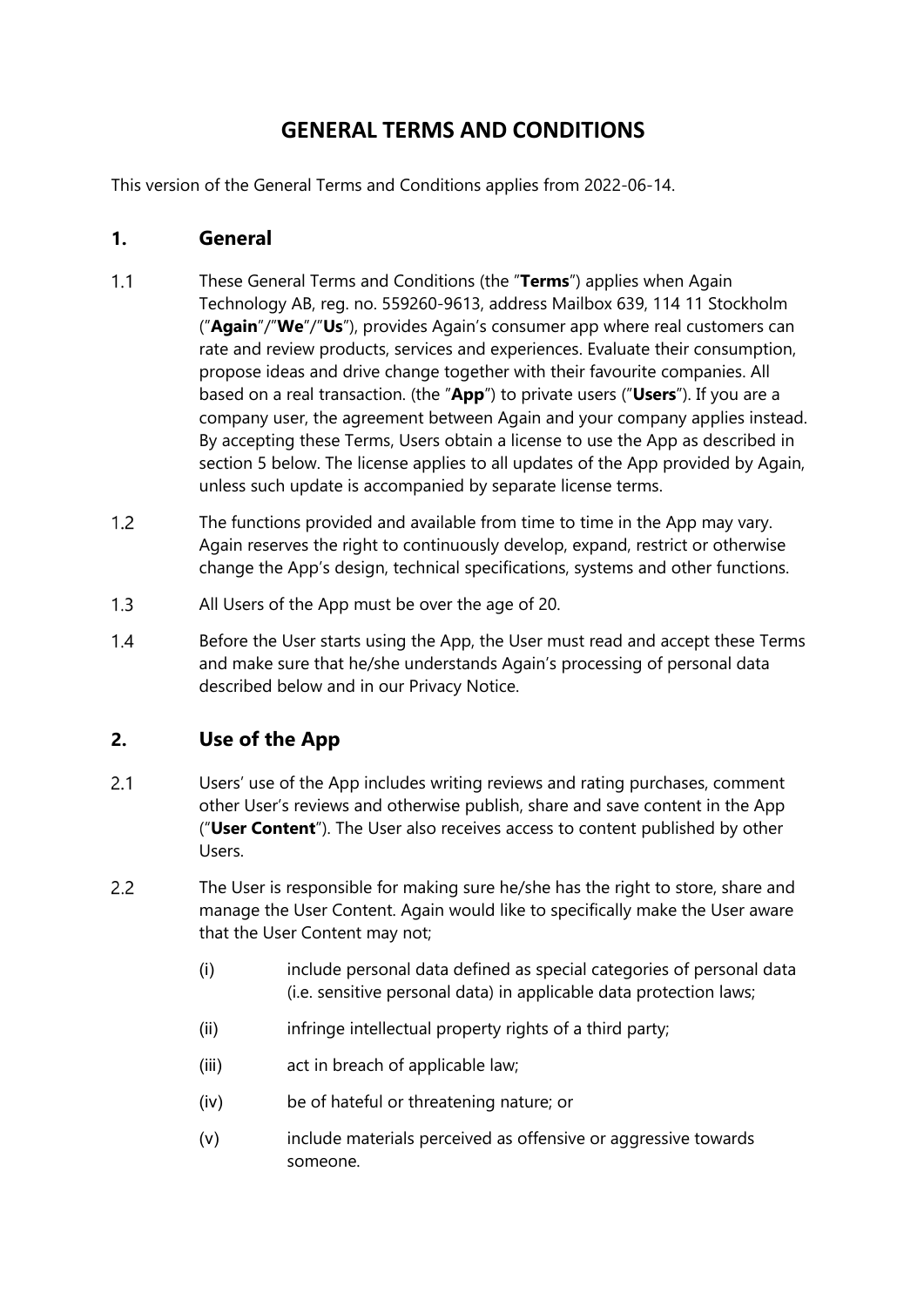# **GENERAL TERMS AND CONDITIONS**

This version of the General Terms and Conditions applies from 2022-06-14.

#### **1. General**

- $1.1$ These General Terms and Conditions (the "**Terms**") applies when Again Technology AB, reg. no. 559260-9613, address Mailbox 639, 114 11 Stockholm ("**Again**"/"**We**"/"**Us**"), provides Again's consumer app where real customers can rate and review products, services and experiences. Evaluate their consumption, propose ideas and drive change together with their favourite companies. All based on a real transaction. (the "**App**") to private users ("**Users**"). If you are a company user, the agreement between Again and your company applies instead. By accepting these Terms, Users obtain a license to use the App as described in section 5 below. The license applies to all updates of the App provided by Again, unless such update is accompanied by separate license terms.
- $12$ The functions provided and available from time to time in the App may vary. Again reserves the right to continuously develop, expand, restrict or otherwise change the App's design, technical specifications, systems and other functions.
- All Users of the App must be over the age of 20.  $1.3$
- $1.4$ Before the User starts using the App, the User must read and accept these Terms and make sure that he/she understands Again's processing of personal data described below and in our Privacy Notice.

### **2. Use of the App**

- $2.1$ Users' use of the App includes writing reviews and rating purchases, comment other User's reviews and otherwise publish, share and save content in the App ("**User Content**"). The User also receives access to content published by other Users.
- $2.2$ The User is responsible for making sure he/she has the right to store, share and manage the User Content. Again would like to specifically make the User aware that the User Content may not;
	- (i) include personal data defined as special categories of personal data (i.e. sensitive personal data) in applicable data protection laws;
	- (ii) infringe intellectual property rights of a third party;
	- (iii) act in breach of applicable law;
	- (iv) be of hateful or threatening nature; or
	- (v) include materials perceived as offensive or aggressive towards someone.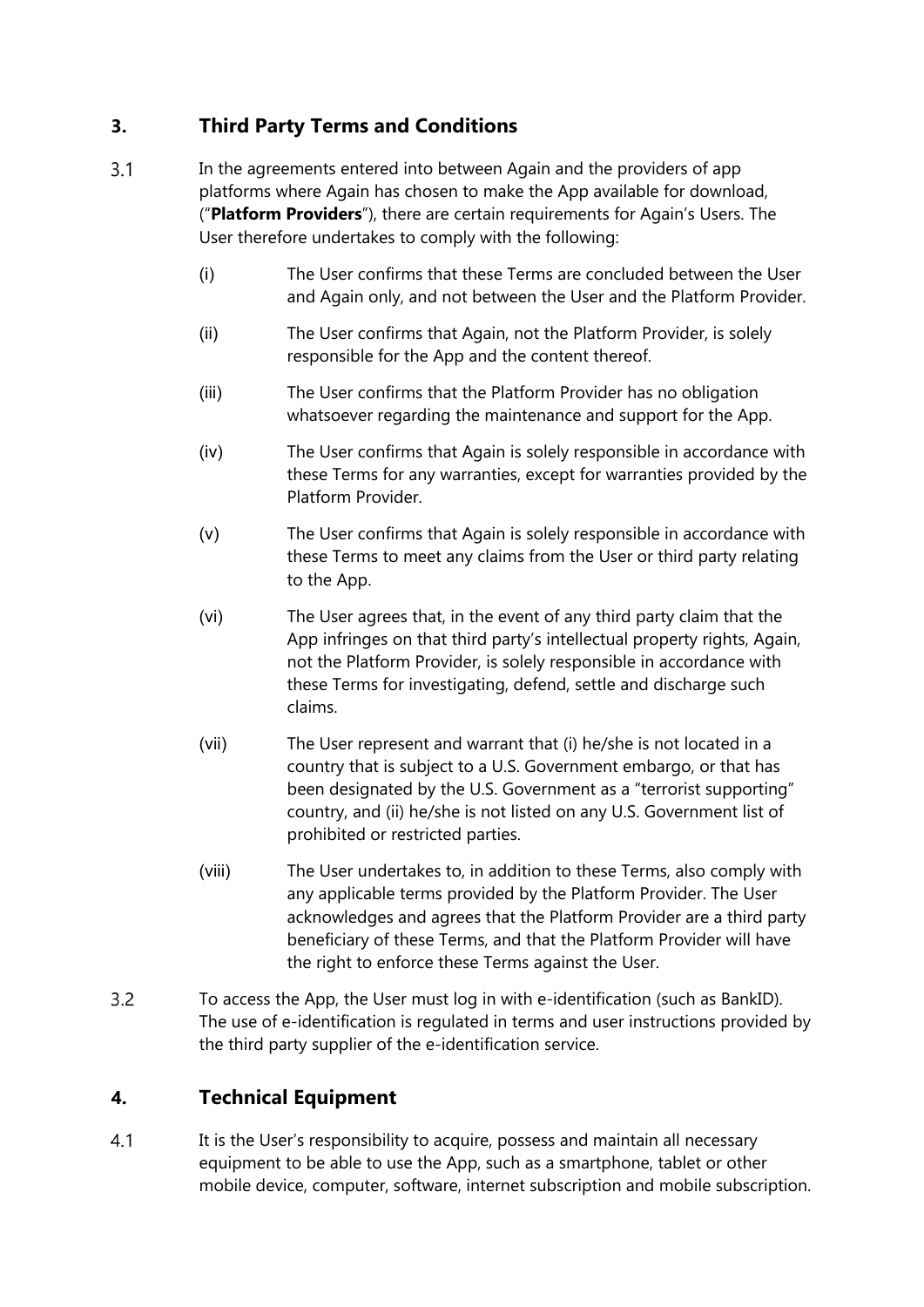# **3. Third Party Terms and Conditions**

- $3.1$ In the agreements entered into between Again and the providers of app platforms where Again has chosen to make the App available for download, ("**Platform Providers**"), there are certain requirements for Again's Users. The User therefore undertakes to comply with the following:
	- (i) The User confirms that these Terms are concluded between the User and Again only, and not between the User and the Platform Provider.
	- (ii) The User confirms that Again, not the Platform Provider, is solely responsible for the App and the content thereof.
	- (iii) The User confirms that the Platform Provider has no obligation whatsoever regarding the maintenance and support for the App.
	- (iv) The User confirms that Again is solely responsible in accordance with these Terms for any warranties, except for warranties provided by the Platform Provider.
	- (v) The User confirms that Again is solely responsible in accordance with these Terms to meet any claims from the User or third party relating to the App.
	- (vi) The User agrees that, in the event of any third party claim that the App infringes on that third party's intellectual property rights, Again, not the Platform Provider, is solely responsible in accordance with these Terms for investigating, defend, settle and discharge such claims.
	- (vii) The User represent and warrant that (i) he/she is not located in a country that is subject to a U.S. Government embargo, or that has been designated by the U.S. Government as a "terrorist supporting" country, and (ii) he/she is not listed on any U.S. Government list of prohibited or restricted parties.
	- (viii) The User undertakes to, in addition to these Terms, also comply with any applicable terms provided by the Platform Provider. The User acknowledges and agrees that the Platform Provider are a third party beneficiary of these Terms, and that the Platform Provider will have the right to enforce these Terms against the User.
- 3.2 To access the App, the User must log in with e-identification (such as BankID). The use of e-identification is regulated in terms and user instructions provided by the third party supplier of the e-identification service.

# **4. Technical Equipment**

 $4.1$ It is the User's responsibility to acquire, possess and maintain all necessary equipment to be able to use the App, such as a smartphone, tablet or other mobile device, computer, software, internet subscription and mobile subscription.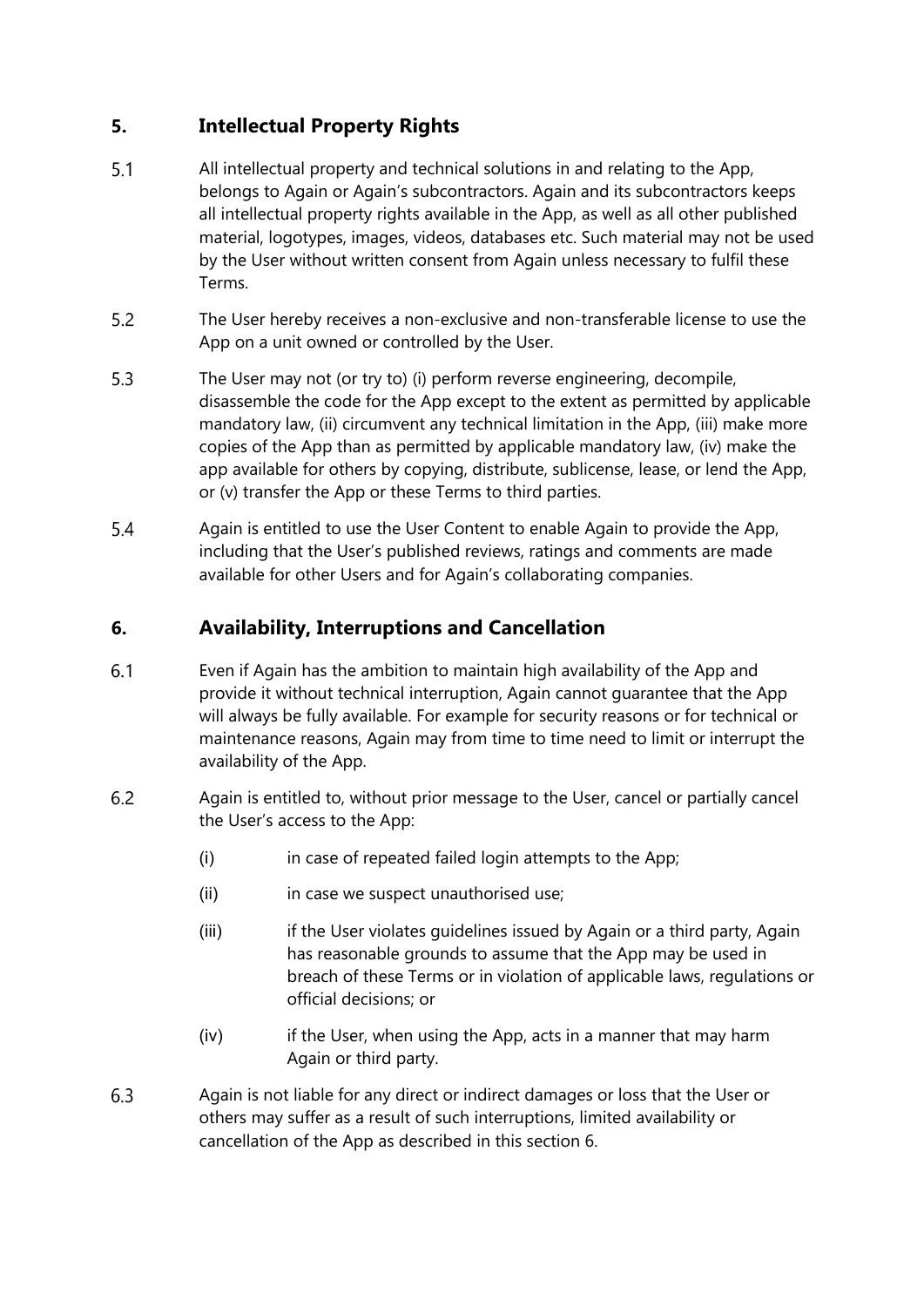# **5. Intellectual Property Rights**

- $5.1$ All intellectual property and technical solutions in and relating to the App, belongs to Again or Again's subcontractors. Again and its subcontractors keeps all intellectual property rights available in the App, as well as all other published material, logotypes, images, videos, databases etc. Such material may not be used by the User without written consent from Again unless necessary to fulfil these Terms.
- 5.2 The User hereby receives a non-exclusive and non-transferable license to use the App on a unit owned or controlled by the User.
- $5.3$ The User may not (or try to) (i) perform reverse engineering, decompile, disassemble the code for the App except to the extent as permitted by applicable mandatory law, (ii) circumvent any technical limitation in the App, (iii) make more copies of the App than as permitted by applicable mandatory law, (iv) make the app available for others by copying, distribute, sublicense, lease, or lend the App, or (v) transfer the App or these Terms to third parties.
- $5.4$ Again is entitled to use the User Content to enable Again to provide the App, including that the User's published reviews, ratings and comments are made available for other Users and for Again's collaborating companies.

### **6. Availability, Interruptions and Cancellation**

- 6.1 Even if Again has the ambition to maintain high availability of the App and provide it without technical interruption, Again cannot guarantee that the App will always be fully available. For example for security reasons or for technical or maintenance reasons, Again may from time to time need to limit or interrupt the availability of the App.
- 6.2 Again is entitled to, without prior message to the User, cancel or partially cancel the User's access to the App:
	- (i) in case of repeated failed login attempts to the App;
	- (ii) in case we suspect unauthorised use;
	- (iii) if the User violates guidelines issued by Again or a third party, Again has reasonable grounds to assume that the App may be used in breach of these Terms or in violation of applicable laws, regulations or official decisions; or
	- (iv) if the User, when using the App, acts in a manner that may harm Again or third party.
- 6.3 Again is not liable for any direct or indirect damages or loss that the User or others may suffer as a result of such interruptions, limited availability or cancellation of the App as described in this section 6.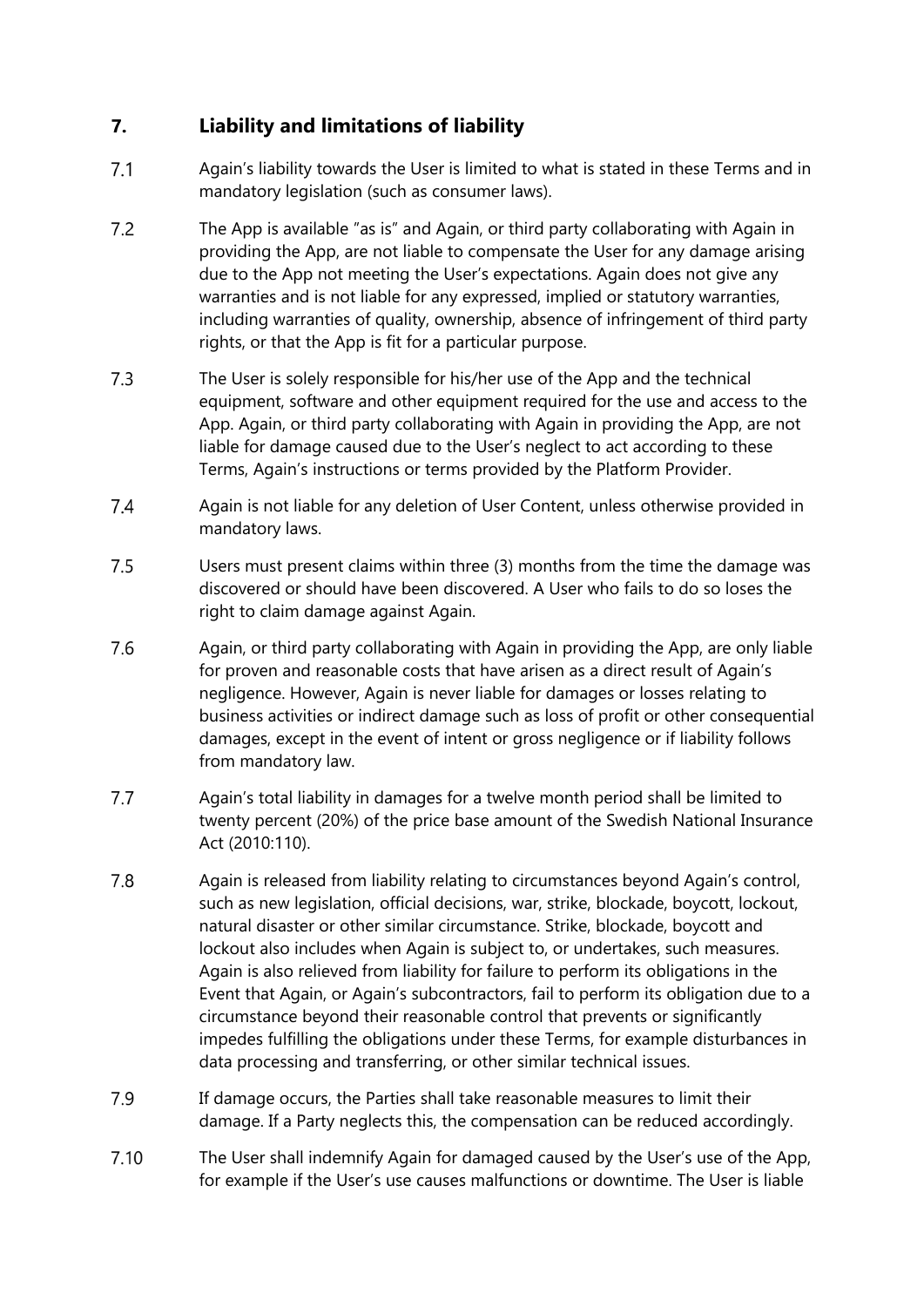# **7. Liability and limitations of liability**

- $7.1$ Again's liability towards the User is limited to what is stated in these Terms and in mandatory legislation (such as consumer laws).
- $7.2$ The App is available "as is" and Again, or third party collaborating with Again in providing the App, are not liable to compensate the User for any damage arising due to the App not meeting the User's expectations. Again does not give any warranties and is not liable for any expressed, implied or statutory warranties, including warranties of quality, ownership, absence of infringement of third party rights, or that the App is fit for a particular purpose.
- $7.3$ The User is solely responsible for his/her use of the App and the technical equipment, software and other equipment required for the use and access to the App. Again, or third party collaborating with Again in providing the App, are not liable for damage caused due to the User's neglect to act according to these Terms, Again's instructions or terms provided by the Platform Provider.
- $7.4$ Again is not liable for any deletion of User Content, unless otherwise provided in mandatory laws.
- $7.5$ Users must present claims within three (3) months from the time the damage was discovered or should have been discovered. A User who fails to do so loses the right to claim damage against Again.
- 7.6 Again, or third party collaborating with Again in providing the App, are only liable for proven and reasonable costs that have arisen as a direct result of Again's negligence. However, Again is never liable for damages or losses relating to business activities or indirect damage such as loss of profit or other consequential damages, except in the event of intent or gross negligence or if liability follows from mandatory law.
- $7.7$ Again's total liability in damages for a twelve month period shall be limited to twenty percent (20%) of the price base amount of the Swedish National Insurance Act (2010:110).
- 7.8 Again is released from liability relating to circumstances beyond Again's control, such as new legislation, official decisions, war, strike, blockade, boycott, lockout, natural disaster or other similar circumstance. Strike, blockade, boycott and lockout also includes when Again is subject to, or undertakes, such measures. Again is also relieved from liability for failure to perform its obligations in the Event that Again, or Again's subcontractors, fail to perform its obligation due to a circumstance beyond their reasonable control that prevents or significantly impedes fulfilling the obligations under these Terms, for example disturbances in data processing and transferring, or other similar technical issues.
- 7.9 If damage occurs, the Parties shall take reasonable measures to limit their damage. If a Party neglects this, the compensation can be reduced accordingly.
- $7.10$ The User shall indemnify Again for damaged caused by the User's use of the App, for example if the User's use causes malfunctions or downtime. The User is liable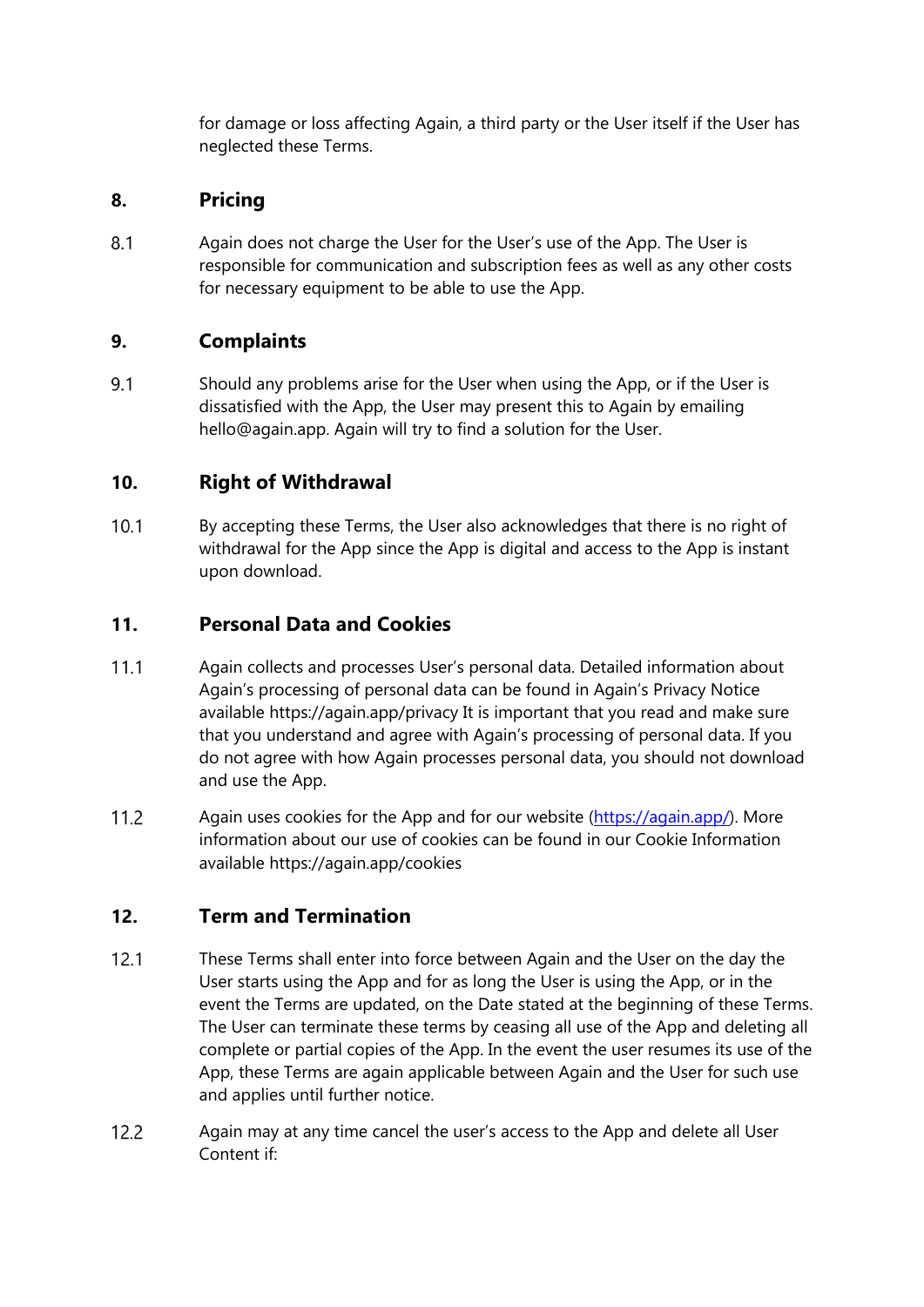for damage or loss affecting Again, a third party or the User itself if the User has neglected these Terms.

### **8. Pricing**

 $8.1$ Again does not charge the User for the User's use of the App. The User is responsible for communication and subscription fees as well as any other costs for necessary equipment to be able to use the App.

### **9. Complaints**

9.1 Should any problems arise for the User when using the App, or if the User is dissatisfied with the App, the User may present this to Again by emailing hello@again.app. Again will try to find a solution for the User.

### **10. Right of Withdrawal**

 $10.1$ By accepting these Terms, the User also acknowledges that there is no right of withdrawal for the App since the App is digital and access to the App is instant upon download.

### **11. Personal Data and Cookies**

- $11.1$ Again collects and processes User's personal data. Detailed information about Again's processing of personal data can be found in Again's Privacy Notice available https://again.app/privacy It is important that you read and make sure that you understand and agree with Again's processing of personal data. If you do not agree with how Again processes personal data, you should not download and use the App.
- $11.2$ Again uses cookies for the App and for our website (https://again.app/). More information about our use of cookies can be found in our Cookie Information available https://again.app/cookies

#### **12. Term and Termination**

- $12.1$ These Terms shall enter into force between Again and the User on the day the User starts using the App and for as long the User is using the App, or in the event the Terms are updated, on the Date stated at the beginning of these Terms. The User can terminate these terms by ceasing all use of the App and deleting all complete or partial copies of the App. In the event the user resumes its use of the App, these Terms are again applicable between Again and the User for such use and applies until further notice.
- $12.2$ Again may at any time cancel the user's access to the App and delete all User Content if: